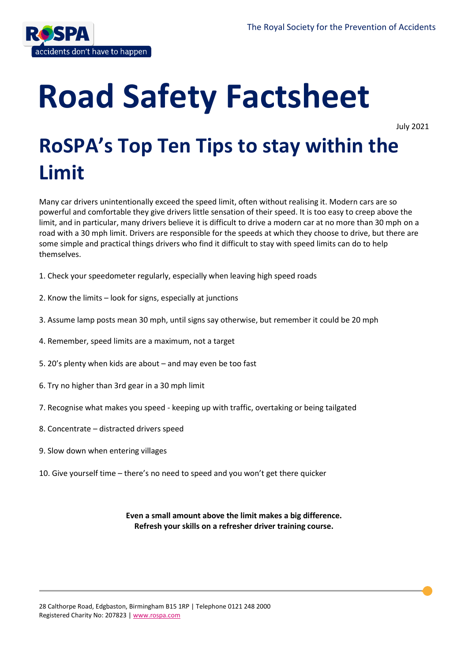

# **Road Safety Factsheet**

July 2021

# **RoSPA's Top Ten Tips to stay within the Limit**

Many car drivers unintentionally exceed the speed limit, often without realising it. Modern cars are so powerful and comfortable they give drivers little sensation of their speed. It is too easy to creep above the limit, and in particular, many drivers believe it is difficult to drive a modern car at no more than 30 mph on a road with a 30 mph limit. Drivers are responsible for the speeds at which they choose to drive, but there are some simple and practical things drivers who find it difficult to stay with speed limits can do to help themselves.

- 1. Check your speedometer regularly, especially when leaving high speed roads
- 2. Know the limits look for signs, especially at junctions
- 3. Assume lamp posts mean 30 mph, until signs say otherwise, but remember it could be 20 mph
- 4. Remember, speed limits are a maximum, not a target
- 5. 20's plenty when kids are about and may even be too fast
- 6. Try no higher than 3rd gear in a 30 mph limit
- 7. Recognise what makes you speed keeping up with traffic, overtaking or being tailgated
- 8. Concentrate distracted drivers speed
- 9. Slow down when entering villages
- 10. Give yourself time there's no need to speed and you won't get there quicker

**Even a small amount above the limit makes a big difference. Refresh your skills on a refresher driver training course.**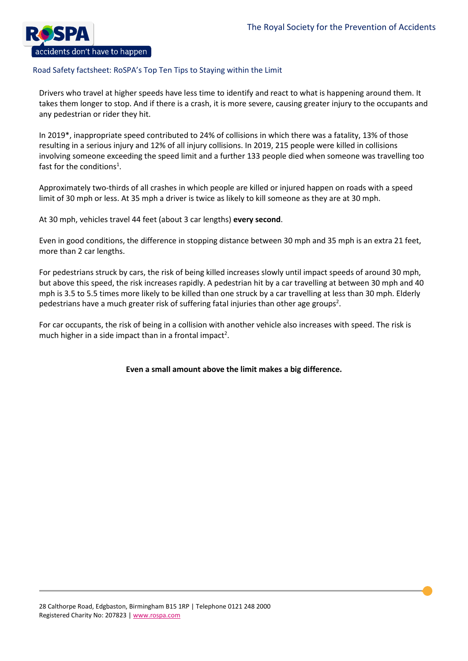

Drivers who travel at higher speeds have less time to identify and react to what is happening around them. It takes them longer to stop. And if there is a crash, it is more severe, causing greater injury to the occupants and any pedestrian or rider they hit.

In 2019\*, inappropriate speed contributed to 24% of collisions in which there was a fatality, 13% of those resulting in a serious injury and 12% of all injury collisions. In 2019, 215 people were killed in collisions involving someone exceeding the speed limit and a further 133 people died when someone was travelling too fast for the conditions<sup>1</sup>.

Approximately two-thirds of all crashes in which people are killed or injured happen on roads with a speed limit of 30 mph or less. At 35 mph a driver is twice as likely to kill someone as they are at 30 mph.

At 30 mph, vehicles travel 44 feet (about 3 car lengths) **every second**.

Even in good conditions, the difference in stopping distance between 30 mph and 35 mph is an extra 21 feet, more than 2 car lengths.

For pedestrians struck by cars, the risk of being killed increases slowly until impact speeds of around 30 mph, but above this speed, the risk increases rapidly. A pedestrian hit by a car travelling at between 30 mph and 40 mph is 3.5 to 5.5 times more likely to be killed than one struck by a car travelling at less than 30 mph. Elderly pedestrians have a much greater risk of suffering fatal injuries than other age groups<sup>2</sup>.

For car occupants, the risk of being in a collision with another vehicle also increases with speed. The risk is much higher in a side impact than in a frontal impact<sup>2</sup>.

**Even a small amount above the limit makes a big difference.**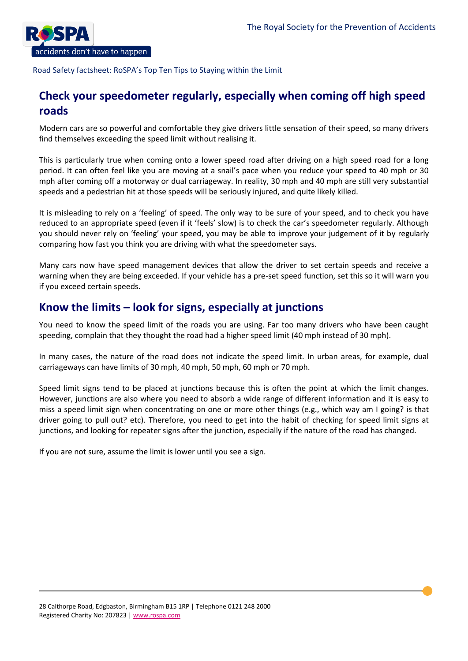

# **Check your speedometer regularly, especially when coming off high speed roads**

Modern cars are so powerful and comfortable they give drivers little sensation of their speed, so many drivers find themselves exceeding the speed limit without realising it.

This is particularly true when coming onto a lower speed road after driving on a high speed road for a long period. It can often feel like you are moving at a snail's pace when you reduce your speed to 40 mph or 30 mph after coming off a motorway or dual carriageway. In reality, 30 mph and 40 mph are still very substantial speeds and a pedestrian hit at those speeds will be seriously injured, and quite likely killed.

It is misleading to rely on a 'feeling' of speed. The only way to be sure of your speed, and to check you have reduced to an appropriate speed (even if it 'feels' slow) is to check the car's speedometer regularly. Although you should never rely on 'feeling' your speed, you may be able to improve your judgement of it by regularly comparing how fast you think you are driving with what the speedometer says.

Many cars now have speed management devices that allow the driver to set certain speeds and receive a warning when they are being exceeded. If your vehicle has a pre-set speed function, set this so it will warn you if you exceed certain speeds.

# **Know the limits – look for signs, especially at junctions**

You need to know the speed limit of the roads you are using. Far too many drivers who have been caught speeding, complain that they thought the road had a higher speed limit (40 mph instead of 30 mph).

In many cases, the nature of the road does not indicate the speed limit. In urban areas, for example, dual carriageways can have limits of 30 mph, 40 mph, 50 mph, 60 mph or 70 mph.

Speed limit signs tend to be placed at junctions because this is often the point at which the limit changes. However, junctions are also where you need to absorb a wide range of different information and it is easy to miss a speed limit sign when concentrating on one or more other things (e.g., which way am I going? is that driver going to pull out? etc). Therefore, you need to get into the habit of checking for speed limit signs at junctions, and looking for repeater signs after the junction, especially if the nature of the road has changed.

If you are not sure, assume the limit is lower until you see a sign.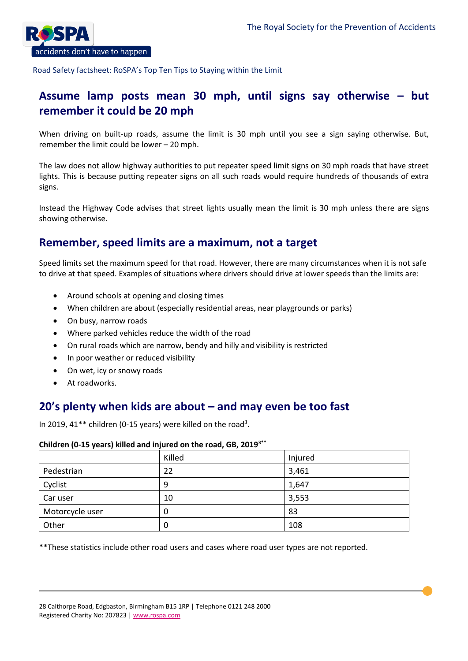

# **Assume lamp posts mean 30 mph, until signs say otherwise – but remember it could be 20 mph**

When driving on built-up roads, assume the limit is 30 mph until you see a sign saying otherwise. But, remember the limit could be lower – 20 mph.

The law does not allow highway authorities to put repeater speed limit signs on 30 mph roads that have street lights. This is because putting repeater signs on all such roads would require hundreds of thousands of extra signs.

Instead the Highway Code advises that street lights usually mean the limit is 30 mph unless there are signs showing otherwise.

# **Remember, speed limits are a maximum, not a target**

Speed limits set the maximum speed for that road. However, there are many circumstances when it is not safe to drive at that speed. Examples of situations where drivers should drive at lower speeds than the limits are:

- Around schools at opening and closing times
- When children are about (especially residential areas, near playgrounds or parks)
- On busy, narrow roads
- Where parked vehicles reduce the width of the road
- On rural roads which are narrow, bendy and hilly and visibility is restricted
- In poor weather or reduced visibility
- On wet, icy or snowy roads
- At roadworks.

# **20's plenty when kids are about – and may even be too fast**

In 2019, 41\*\* children (0-15 years) were killed on the road<sup>3</sup>.

### **Children (0-15 years) killed and injured on the road, GB, 20193\*\***

|                 | Killed | Injured |
|-----------------|--------|---------|
| Pedestrian      | 22     | 3,461   |
| Cyclist         | 9      | 1,647   |
| Car user        | 10     | 3,553   |
| Motorcycle user | 0      | 83      |
| Other           | 0      | 108     |

\*\*These statistics include other road users and cases where road user types are not reported.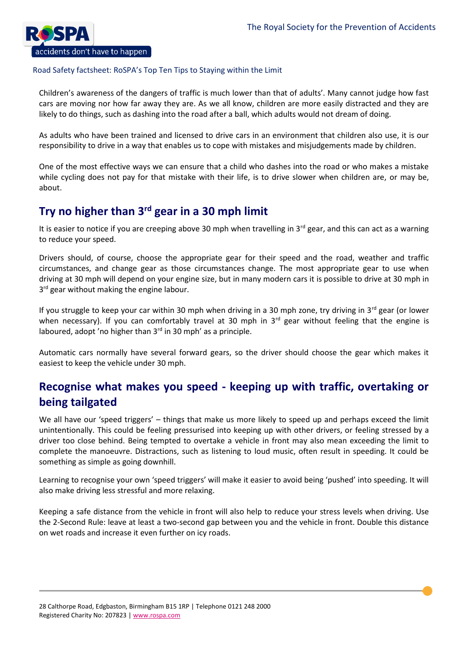

Children's awareness of the dangers of traffic is much lower than that of adults'. Many cannot judge how fast cars are moving nor how far away they are. As we all know, children are more easily distracted and they are likely to do things, such as dashing into the road after a ball, which adults would not dream of doing.

As adults who have been trained and licensed to drive cars in an environment that children also use, it is our responsibility to drive in a way that enables us to cope with mistakes and misjudgements made by children.

One of the most effective ways we can ensure that a child who dashes into the road or who makes a mistake while cycling does not pay for that mistake with their life, is to drive slower when children are, or may be, about.

# **Try no higher than 3rd gear in a 30 mph limit**

It is easier to notice if you are creeping above 30 mph when travelling in  $3<sup>rd</sup>$  gear, and this can act as a warning to reduce your speed.

Drivers should, of course, choose the appropriate gear for their speed and the road, weather and traffic circumstances, and change gear as those circumstances change. The most appropriate gear to use when driving at 30 mph will depend on your engine size, but in many modern cars it is possible to drive at 30 mph in 3<sup>rd</sup> gear without making the engine labour.

If you struggle to keep your car within 30 mph when driving in a 30 mph zone, try driving in  $3^{rd}$  gear (or lower when necessary). If you can comfortably travel at 30 mph in 3<sup>rd</sup> gear without feeling that the engine is laboured, adopt 'no higher than 3<sup>rd</sup> in 30 mph' as a principle.

Automatic cars normally have several forward gears, so the driver should choose the gear which makes it easiest to keep the vehicle under 30 mph.

# **Recognise what makes you speed - keeping up with traffic, overtaking or being tailgated**

We all have our 'speed triggers' – things that make us more likely to speed up and perhaps exceed the limit unintentionally. This could be feeling pressurised into keeping up with other drivers, or feeling stressed by a driver too close behind. Being tempted to overtake a vehicle in front may also mean exceeding the limit to complete the manoeuvre. Distractions, such as listening to loud music, often result in speeding. It could be something as simple as going downhill.

Learning to recognise your own 'speed triggers' will make it easier to avoid being 'pushed' into speeding. It will also make driving less stressful and more relaxing.

Keeping a safe distance from the vehicle in front will also help to reduce your stress levels when driving. Use the 2-Second Rule: leave at least a two-second gap between you and the vehicle in front. Double this distance on wet roads and increase it even further on icy roads.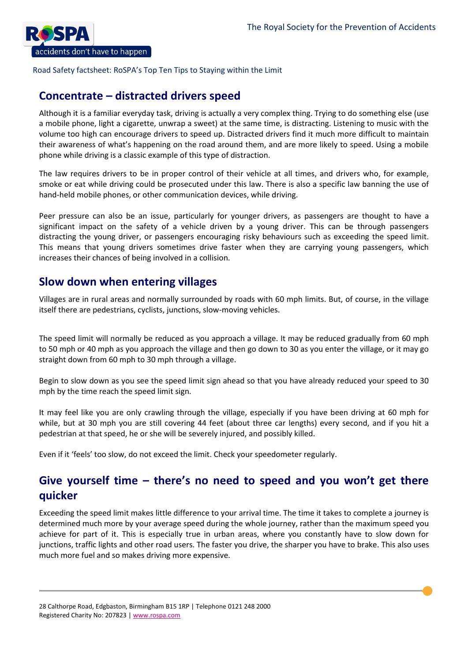

# **Concentrate – distracted drivers speed**

Although it is a familiar everyday task, driving is actually a very complex thing. Trying to do something else (use a mobile phone, light a cigarette, unwrap a sweet) at the same time, is distracting. Listening to music with the volume too high can encourage drivers to speed up. Distracted drivers find it much more difficult to maintain their awareness of what's happening on the road around them, and are more likely to speed. Using a mobile phone while driving is a classic example of this type of distraction.

The law requires drivers to be in proper control of their vehicle at all times, and drivers who, for example, smoke or eat while driving could be prosecuted under this law. There is also a specific law banning the use of hand-held mobile phones, or other communication devices, while driving.

Peer pressure can also be an issue, particularly for younger drivers, as passengers are thought to have a significant impact on the safety of a vehicle driven by a young driver. This can be through passengers distracting the young driver, or passengers encouraging risky behaviours such as exceeding the speed limit. This means that young drivers sometimes drive faster when they are carrying young passengers, which increases their chances of being involved in a collision.

# **Slow down when entering villages**

Villages are in rural areas and normally surrounded by roads with 60 mph limits. But, of course, in the village itself there are pedestrians, cyclists, junctions, slow-moving vehicles.

The speed limit will normally be reduced as you approach a village. It may be reduced gradually from 60 mph to 50 mph or 40 mph as you approach the village and then go down to 30 as you enter the village, or it may go straight down from 60 mph to 30 mph through a village.

Begin to slow down as you see the speed limit sign ahead so that you have already reduced your speed to 30 mph by the time reach the speed limit sign.

It may feel like you are only crawling through the village, especially if you have been driving at 60 mph for while, but at 30 mph you are still covering 44 feet (about three car lengths) every second, and if you hit a pedestrian at that speed, he or she will be severely injured, and possibly killed.

Even if it 'feels' too slow, do not exceed the limit. Check your speedometer regularly.

# **Give yourself time – there's no need to speed and you won't get there quicker**

Exceeding the speed limit makes little difference to your arrival time. The time it takes to complete a journey is determined much more by your average speed during the whole journey, rather than the maximum speed you achieve for part of it. This is especially true in urban areas, where you constantly have to slow down for junctions, traffic lights and other road users. The faster you drive, the sharper you have to brake. This also uses much more fuel and so makes driving more expensive.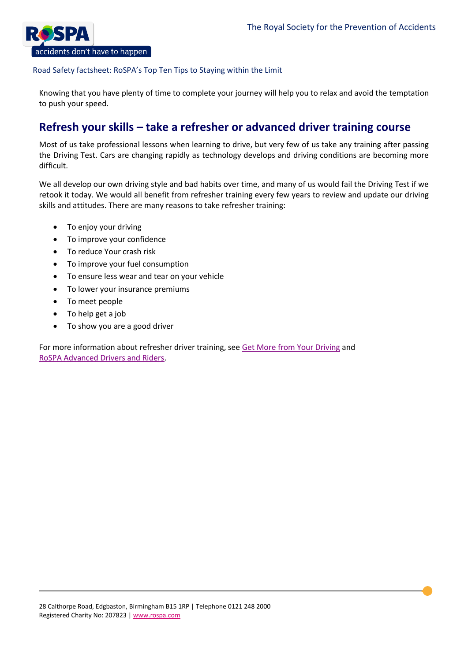

Knowing that you have plenty of time to complete your journey will help you to relax and avoid the temptation to push your speed.

# **Refresh your skills – take a refresher or advanced driver training course**

Most of us take professional lessons when learning to drive, but very few of us take any training after passing the Driving Test. Cars are changing rapidly as technology develops and driving conditions are becoming more difficult.

We all develop our own driving style and bad habits over time, and many of us would fail the Driving Test if we retook it today. We would all benefit from refresher training every few years to review and update our driving skills and attitudes. There are many reasons to take refresher training:

- To enjoy your driving
- To improve your confidence
- To reduce Your crash risk
- To improve your fuel consumption
- To ensure less wear and tear on your vehicle
- To lower your insurance premiums
- To meet people
- To help get a job
- To show you are a good driver

For more information about refresher driver training, see [Get More from](https://www.rospa.com/rospaweb/docs/advice-services/road-safety/drivers/get-more-leaflet.pdf) Your Driving and [RoSPA Advanced Drivers and Riders.](https://www.rospa.com/road-safety/rospa-advanced-drivers-and-riders)